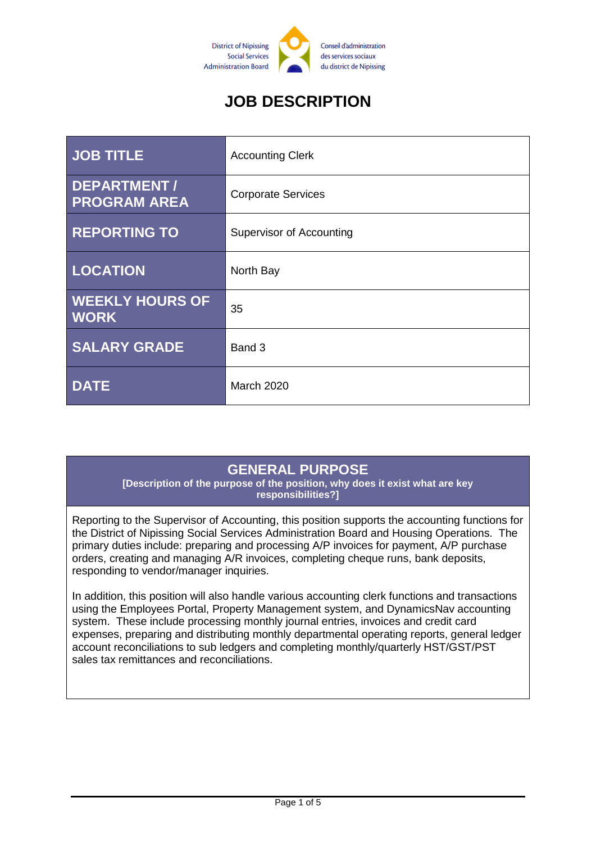

# **JOB DESCRIPTION**

| <b>JOB TITLE</b>                      | <b>Accounting Clerk</b>         |
|---------------------------------------|---------------------------------|
| DEPARTMENT /<br><b>PROGRAM AREA</b>   | <b>Corporate Services</b>       |
| <b>REPORTING TO</b>                   | <b>Supervisor of Accounting</b> |
| <b>LOCATION</b>                       | North Bay                       |
| <b>WEEKLY HOURS OF</b><br><b>WORK</b> | 35                              |
| <b>SALARY GRADE</b>                   | Band 3                          |
| <b>DATE</b>                           | <b>March 2020</b>               |

#### **GENERAL PURPOSE**

**[Description of the purpose of the position, why does it exist what are key responsibilities?]**

Reporting to the Supervisor of Accounting, this position supports the accounting functions for the District of Nipissing Social Services Administration Board and Housing Operations. The primary duties include: preparing and processing A/P invoices for payment, A/P purchase orders, creating and managing A/R invoices, completing cheque runs, bank deposits, responding to vendor/manager inquiries.

In addition, this position will also handle various accounting clerk functions and transactions using the Employees Portal, Property Management system, and DynamicsNav accounting system. These include processing monthly journal entries, invoices and credit card expenses, preparing and distributing monthly departmental operating reports, general ledger account reconciliations to sub ledgers and completing monthly/quarterly HST/GST/PST sales tax remittances and reconciliations.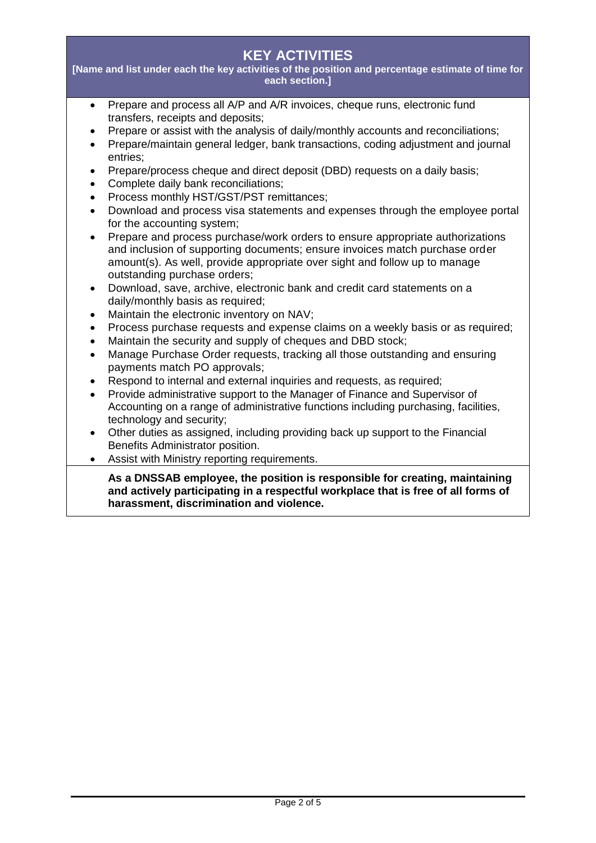## **KEY ACTIVITIES**

**[Name and list under each the key activities of the position and percentage estimate of time for each section.]**

- Prepare and process all A/P and A/R invoices, cheque runs, electronic fund transfers, receipts and deposits;
- Prepare or assist with the analysis of daily/monthly accounts and reconciliations;
- Prepare/maintain general ledger, bank transactions, coding adjustment and journal entries;
- Prepare/process cheque and direct deposit (DBD) requests on a daily basis:
- Complete daily bank reconciliations;
- Process monthly HST/GST/PST remittances;
- Download and process visa statements and expenses through the employee portal for the accounting system;
- Prepare and process purchase/work orders to ensure appropriate authorizations and inclusion of supporting documents; ensure invoices match purchase order amount(s). As well, provide appropriate over sight and follow up to manage outstanding purchase orders;
- Download, save, archive, electronic bank and credit card statements on a daily/monthly basis as required;
- Maintain the electronic inventory on NAV;
- Process purchase requests and expense claims on a weekly basis or as required;
- Maintain the security and supply of cheques and DBD stock;
- Manage Purchase Order requests, tracking all those outstanding and ensuring payments match PO approvals;
- Respond to internal and external inquiries and requests, as required;
- Provide administrative support to the Manager of Finance and Supervisor of Accounting on a range of administrative functions including purchasing, facilities, technology and security;
- Other duties as assigned, including providing back up support to the Financial Benefits Administrator position.
- Assist with Ministry reporting requirements.

**As a DNSSAB employee, the position is responsible for creating, maintaining and actively participating in a respectful workplace that is free of all forms of harassment, discrimination and violence.**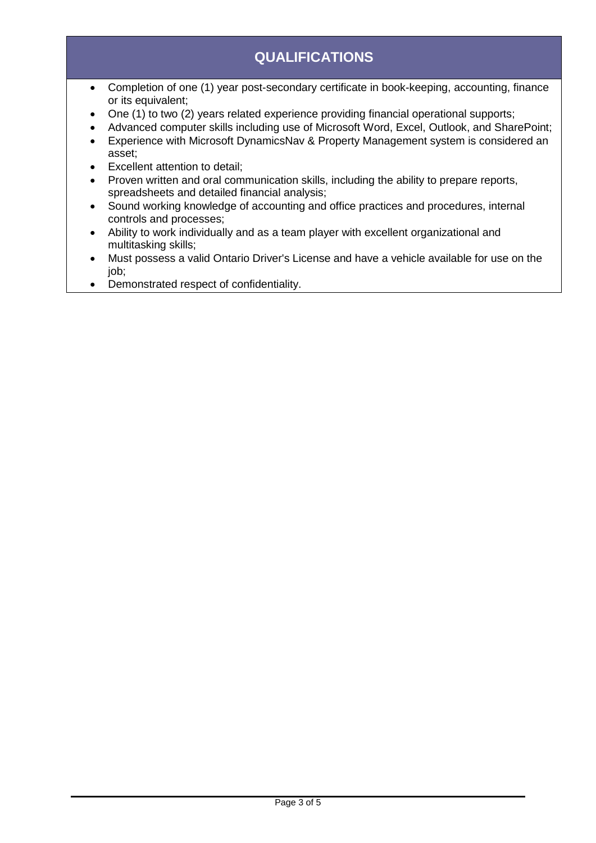# **QUALIFICATIONS**

- Completion of one (1) year post-secondary certificate in book-keeping, accounting, finance or its equivalent;
- One (1) to two (2) years related experience providing financial operational supports;
- Advanced computer skills including use of Microsoft Word, Excel, Outlook, and SharePoint;
- Experience with Microsoft DynamicsNav & Property Management system is considered an asset;
- Excellent attention to detail;
- Proven written and oral communication skills, including the ability to prepare reports, spreadsheets and detailed financial analysis;
- Sound working knowledge of accounting and office practices and procedures, internal controls and processes;
- Ability to work individually and as a team player with excellent organizational and multitasking skills;
- Must possess a valid Ontario Driver's License and have a vehicle available for use on the job;
- Demonstrated respect of confidentiality.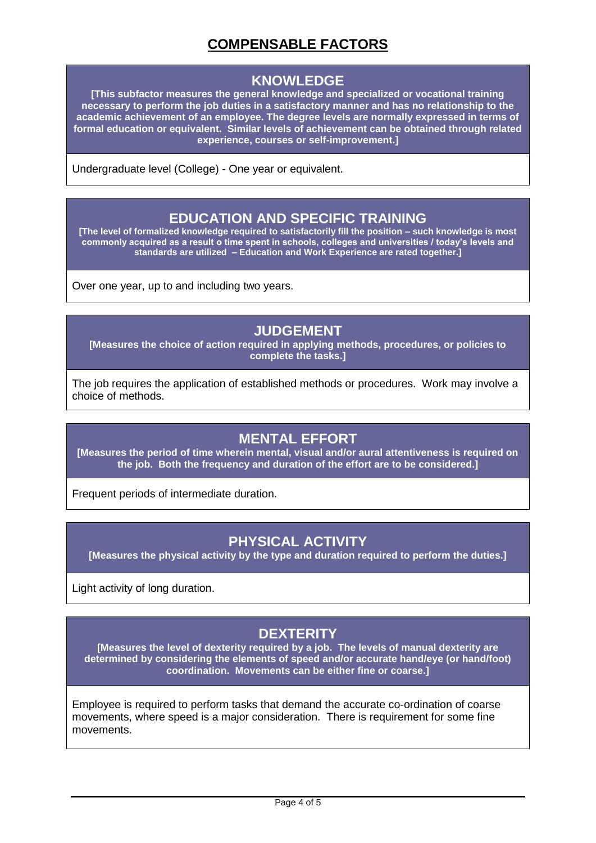## **COMPENSABLE FACTORS**

#### **KNOWLEDGE**

**[This subfactor measures the general knowledge and specialized or vocational training necessary to perform the job duties in a satisfactory manner and has no relationship to the academic achievement of an employee. The degree levels are normally expressed in terms of formal education or equivalent. Similar levels of achievement can be obtained through related experience, courses or self-improvement.]**

Undergraduate level (College) - One year or equivalent.

#### **EDUCATION AND SPECIFIC TRAINING**

**[The level of formalized knowledge required to satisfactorily fill the position – such knowledge is most commonly acquired as a result o time spent in schools, colleges and universities / today's levels and standards are utilized – Education and Work Experience are rated together.]**

Over one year, up to and including two years.

#### **JUDGEMENT**

**[Measures the choice of action required in applying methods, procedures, or policies to complete the tasks.]**

The job requires the application of established methods or procedures. Work may involve a choice of methods.

#### **MENTAL EFFORT**

**[Measures the period of time wherein mental, visual and/or aural attentiveness is required on the job. Both the frequency and duration of the effort are to be considered.]**

Frequent periods of intermediate duration.

#### **PHYSICAL ACTIVITY**

**[Measures the physical activity by the type and duration required to perform the duties.]**

Light activity of long duration.

## **DEXTERITY**

**[Measures the level of dexterity required by a job. The levels of manual dexterity are determined by considering the elements of speed and/or accurate hand/eye (or hand/foot) coordination. Movements can be either fine or coarse.]**

Employee is required to perform tasks that demand the accurate co-ordination of coarse movements, where speed is a major consideration. There is requirement for some fine movements.